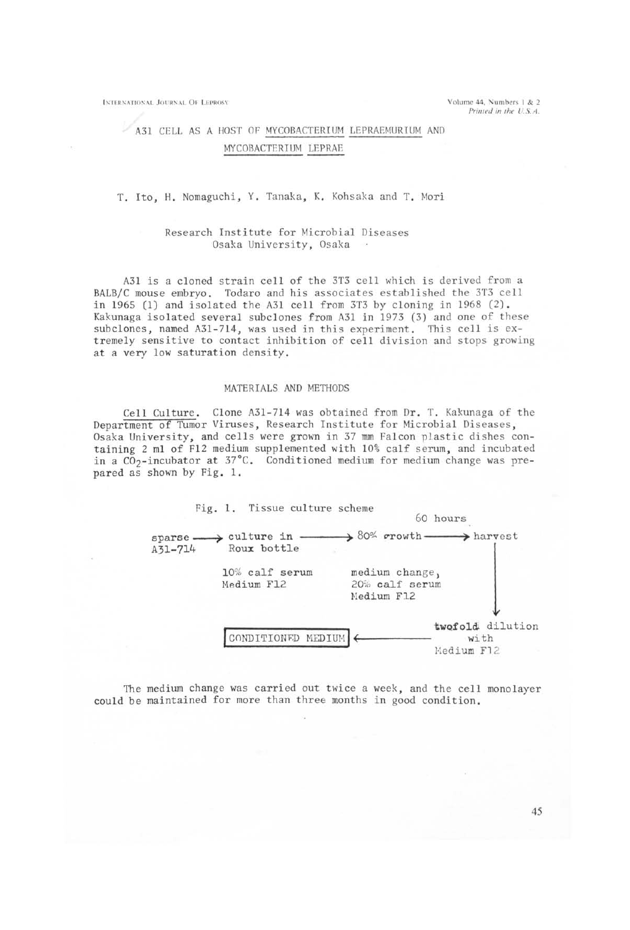**INTERNATIONAL JOURNAL OF LEPROSY** 

# A31 CELL AS A HOST OF MYCOBACTERIUM LEPRAEMURIUM AND MYCOBACTERIUM LEPRAE

## T. Ito. H. Nomaguchi, Y. Tanaka, K. Kohsaka and T. Mori

## Research Institute for Microbial Diseases Osaka University, Osaka

A31 is a cloned strain cell of the 3T3 cell which is derived from a BALB/C mouse embryo. Todaro and his associates established the 3T3 cell in 1965 (1) and isolated the A31 cell from 3T3 by cloning in 1968 (2). Kakunaga isolated several subclones from A31 in 1973 (3) and one of these subclones, named A31-714, was used in this experiment. This cell is extremely sensitive to contact inhibition of cell division and stops growing at a very low saturation density.

### MATERIALS AND METHODS

Cell Culture. Clone A31-714 was obtained from Dr. T. Kakunaga of the Department of Tumor Viruses, Research Institute for Microbial Diseases, Osaka University, and cells were grown in 37 mm Falcon plastic dishes containing 2 ml of F12 medium supplemented with 10% calf serum, and incubated in a CO<sub>2</sub>-incubator at 37°C. Conditioned medium for medium change was prepared as shown by Fig. 1.



The medium change was carried out twice a week, and the cell monolayer could be maintained for more than three months in good condition.

45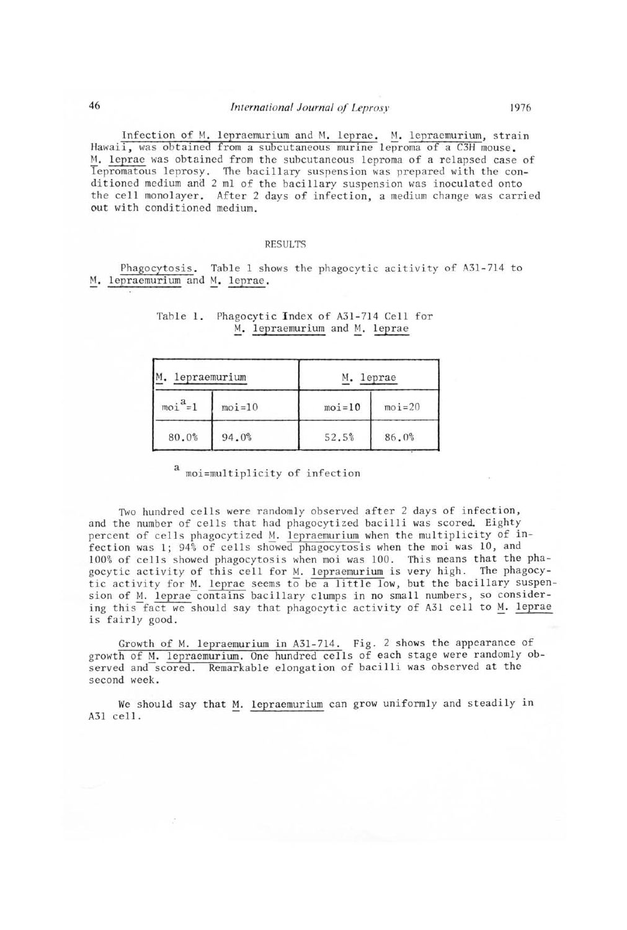Infection of M. lepraemurium and M. leprae. M. lepraemurium, strain Hawaii, was obtained from a subcutaneous murine leproma of a C3H mouse. M. leprae was obtained from the subcutaneous leproma of a relapsed case of lepromatous leprosy. The bacillary suspension was prepared with the conditioned medium and 2 ml of the bacillary suspension was inoculated onto the cell monolayer. After 2 days of infection, a medium change was carried out with conditioned medium.

### RESULTS

Phagocytosis. Table 1 shows the phagocytic acitivity of A3l-714 to M. lepraemurium and M. leprae.

| lepraemurium |          | M. leprae  |            |
|--------------|----------|------------|------------|
| $moia=1$     | $moi=10$ | $moi = 10$ | $moi = 20$ |
| 80.0%        | 94.0%    | 52.5%      | 86.0%      |

# Table 1. Phagocytic Index of A3l-714 Cell for M. lepraemurium and M. leprae

a moi=multiplicity of infection

Two hundred cells were randomly observed after 2 days of infection, and the number of cells that had phagocytized bacilli was scored. Eighty percent of cells phagocytized M. lepraemurium when the multiplicity of infection was 1; 94% of cells showed phagocytosis when the moi was 10, and 100% of cells showed phagocytosis when moi was 100. This means that the phagocytic activity of this cell for M. lepraemurium is very high. The phagocytic activity for M. leprae seems to be a little low, but the bacillary suspension of M. leprae contains bacillary clumps in no small numbers, so considering this fact we should say that phagocytic activity of A31 cell to M. leprae is fairly good.

Growth of M. lepraemurium in A31-714. Fig. 2 shows the appearance of growth of M. lepraemurium. One hundred cells of each stage were randomly observed and scored. Remarkable elongation of bacilli was observed at the second week.

We should say that M. lepraemurium can grow uniformly and steadily in A31 cell.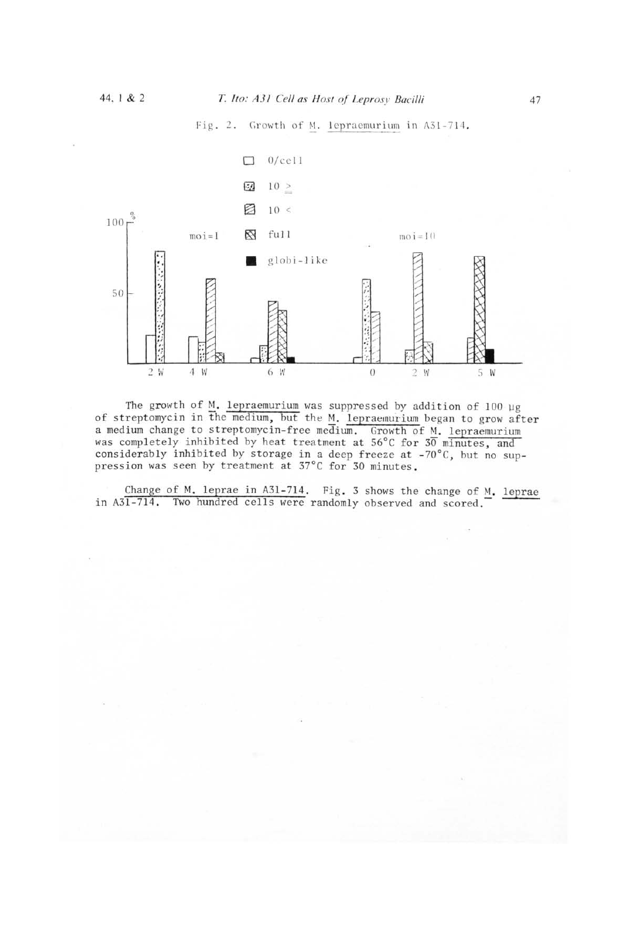Fig. 2. Growth of M. lepraemurium in A31-714.



The growth of M. lepraemurium was suppressed by addition of 100  $\mu$ g of streptomycin in the medium, but the M. lepraemurium began to grow after a medium change to streptomycin-free medium. Growth of M. lepraemurium<br>was completely inhibited by heat treatment at 56°C for 30 minutes, and considerably inhibited by storage in a deep freeze at -70°C, but no suppression was seen by treatment at 37°C for 30 minutes.

Change of M. leprae in A31-714. Fig. 3 shows the change of M. leprae in A31-714. Two hundred cells were randomly observed and scored.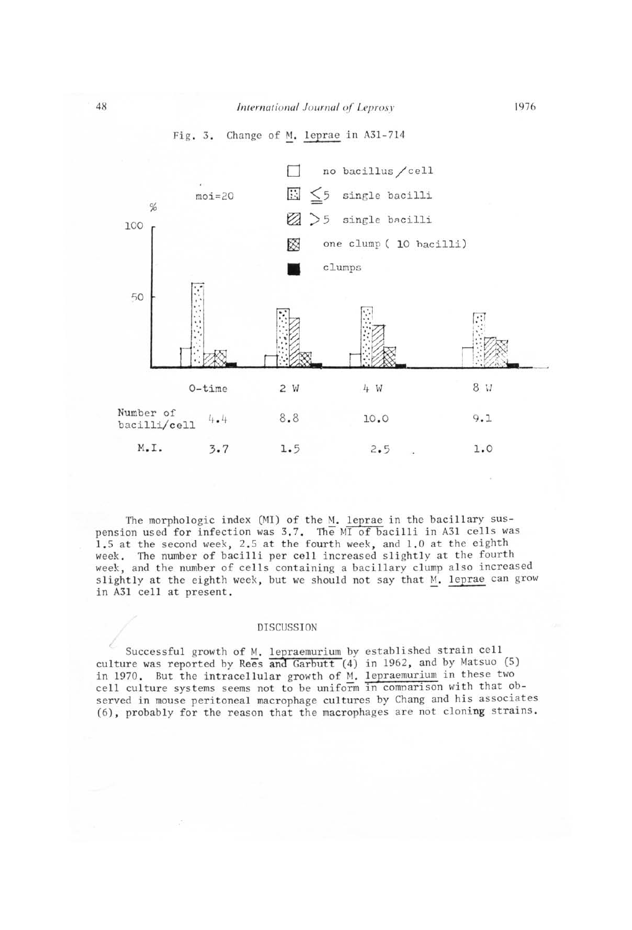

The morphologic index (MI) of the M. leprae in the bacillary suspension used for infection was 3.7. The MI of bacilli in A3l cells was 1.5 at the second *week,* 2.5 at the fourth week, and 1.0 at the eighth week. The number of bacilli per cell increased slightly at the fourth week, and the number of cells containing a bacillary clump also increased slightly at the eighth week, but we should not say that M. leprae can grow in A31 cell at present.

#### DISCUSSION

Successful growth of M. lepraemurium by established strain cell culture was reported by Rees and Garbutt  $(4)$  in 1962, and by Matsuo  $(5)$ in 1970. But the intracellular growth of M. lepraemurium in these two cell culture systems seems not to be uniform in comparison with that observed in mouse peritoneal macrophage cultures by Chang and his associates (6), probably for the reason that the macrophages are not cloning strains.